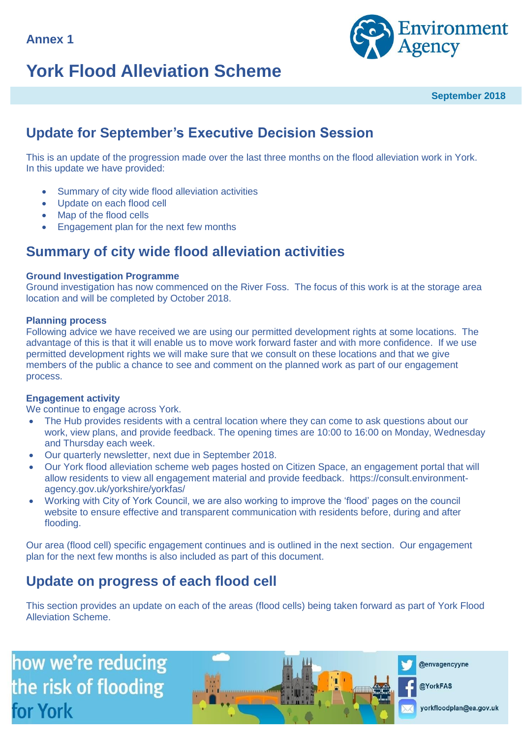



**September 2018**

## **Update for September's Executive Decision Session**

This is an update of the progression made over the last three months on the flood alleviation work in York. In this update we have provided:

- Summary of city wide flood alleviation activities
- Update on each flood cell
- Map of the flood cells
- Engagement plan for the next few months

### **Summary of city wide flood alleviation activities**

### **Ground Investigation Programme**

Ground investigation has now commenced on the River Foss. The focus of this work is at the storage area location and will be completed by October 2018.

### **Planning process**

Following advice we have received we are using our permitted development rights at some locations. The advantage of this is that it will enable us to move work forward faster and with more confidence. If we use permitted development rights we will make sure that we consult on these locations and that we give members of the public a chance to see and comment on the planned work as part of our engagement process.

### **Engagement activity**

We continue to engage across York.

- The Hub provides residents with a central location where they can come to ask questions about our work, view plans, and provide feedback. The opening times are 10:00 to 16:00 on Monday, Wednesday and Thursday each week.
- Our quarterly newsletter, next due in September 2018.
- Our York flood alleviation scheme web pages hosted on Citizen Space, an engagement portal that will allow residents to view all engagement material and provide feedback. https://consult.environmentagency.gov.uk/yorkshire/yorkfas/
- Working with City of York Council, we are also working to improve the 'flood' pages on the council website to ensure effective and transparent communication with residents before, during and after flooding.

Our area (flood cell) specific engagement continues and is outlined in the next section. Our engagement plan for the next few months is also included as part of this document.

## **Update on progress of each flood cell**

This section provides an update on each of the areas (flood cells) being taken forward as part of York Flood Alleviation Scheme.

how we're reducing the risk of flooding for York



@envagencyyne

@YorkFAS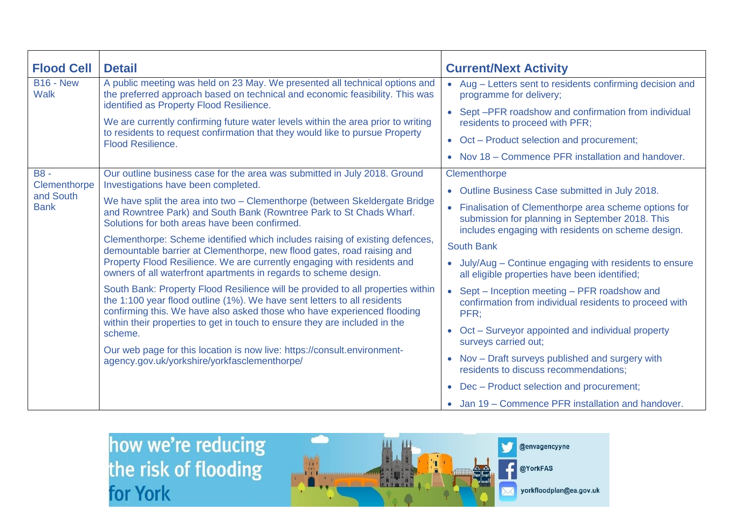| <b>Flood Cell</b>                                      | <b>Detail</b>                                                                                                                                                                                                                                                                                                                                                                                                                                                                                                                                                                                                                   | <b>Current/Next Activity</b>                                                                                                                                                                                                                                                 |  |  |
|--------------------------------------------------------|---------------------------------------------------------------------------------------------------------------------------------------------------------------------------------------------------------------------------------------------------------------------------------------------------------------------------------------------------------------------------------------------------------------------------------------------------------------------------------------------------------------------------------------------------------------------------------------------------------------------------------|------------------------------------------------------------------------------------------------------------------------------------------------------------------------------------------------------------------------------------------------------------------------------|--|--|
| <b>B16 - New</b><br><b>Walk</b>                        | A public meeting was held on 23 May. We presented all technical options and<br>the preferred approach based on technical and economic feasibility. This was<br>identified as Property Flood Resilience.<br>We are currently confirming future water levels within the area prior to writing<br>to residents to request confirmation that they would like to pursue Property<br><b>Flood Resilience.</b>                                                                                                                                                                                                                         | • Aug - Letters sent to residents confirming decision and<br>programme for delivery;<br>Sept-PFR roadshow and confirmation from individual<br>residents to proceed with PFR;<br>Oct – Product selection and procurement;<br>Nov 18 – Commence PFR installation and handover. |  |  |
| <b>B8-</b><br>Clementhorpe<br>and South<br><b>Bank</b> | Our outline business case for the area was submitted in July 2018. Ground<br>Investigations have been completed.<br>We have split the area into two - Clementhorpe (between Skeldergate Bridge<br>and Rowntree Park) and South Bank (Rowntree Park to St Chads Wharf.<br>Solutions for both areas have been confirmed.<br>Clementhorpe: Scheme identified which includes raising of existing defences,<br>demountable barrier at Clementhorpe, new flood gates, road raising and<br>Property Flood Resilience. We are currently engaging with residents and<br>owners of all waterfront apartments in regards to scheme design. | Clementhorpe<br>Outline Business Case submitted in July 2018.                                                                                                                                                                                                                |  |  |
|                                                        |                                                                                                                                                                                                                                                                                                                                                                                                                                                                                                                                                                                                                                 | Finalisation of Clementhorpe area scheme options for<br>$\bullet$<br>submission for planning in September 2018. This<br>includes engaging with residents on scheme design.                                                                                                   |  |  |
|                                                        |                                                                                                                                                                                                                                                                                                                                                                                                                                                                                                                                                                                                                                 | <b>South Bank</b><br>July/Aug - Continue engaging with residents to ensure<br>all eligible properties have been identified;                                                                                                                                                  |  |  |
|                                                        | South Bank: Property Flood Resilience will be provided to all properties within<br>the 1:100 year flood outline (1%). We have sent letters to all residents<br>confirming this. We have also asked those who have experienced flooding<br>within their properties to get in touch to ensure they are included in the<br>scheme.                                                                                                                                                                                                                                                                                                 | Sept – Inception meeting – PFR roadshow and<br>$\bullet$<br>confirmation from individual residents to proceed with<br>PFR:<br>Oct - Surveyor appointed and individual property                                                                                               |  |  |
|                                                        | Our web page for this location is now live: https://consult.environment-<br>agency.gov.uk/yorkshire/yorkfasclementhorpe/                                                                                                                                                                                                                                                                                                                                                                                                                                                                                                        | surveys carried out;<br>Nov - Draft surveys published and surgery with<br>residents to discuss recommendations;                                                                                                                                                              |  |  |
|                                                        |                                                                                                                                                                                                                                                                                                                                                                                                                                                                                                                                                                                                                                 | Dec - Product selection and procurement;                                                                                                                                                                                                                                     |  |  |
|                                                        |                                                                                                                                                                                                                                                                                                                                                                                                                                                                                                                                                                                                                                 | • Jan 19 – Commence PFR installation and handover.                                                                                                                                                                                                                           |  |  |

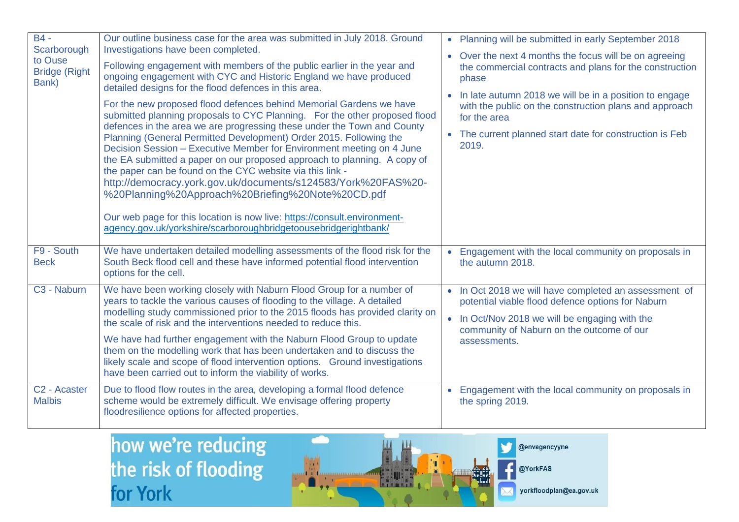| $B4 -$<br>Scarborough<br>to Ouse<br><b>Bridge (Right</b><br>Bank) | Our outline business case for the area was submitted in July 2018. Ground<br>Investigations have been completed.<br>Following engagement with members of the public earlier in the year and<br>ongoing engagement with CYC and Historic England we have produced<br>detailed designs for the flood defences in this area.<br>For the new proposed flood defences behind Memorial Gardens we have<br>submitted planning proposals to CYC Planning. For the other proposed flood<br>defences in the area we are progressing these under the Town and County<br>Planning (General Permitted Development) Order 2015. Following the<br>Decision Session - Executive Member for Environment meeting on 4 June<br>the EA submitted a paper on our proposed approach to planning. A copy of<br>the paper can be found on the CYC website via this link -<br>http://democracy.york.gov.uk/documents/s124583/York%20FAS%20-<br>%20Planning%20Approach%20Briefing%20Note%20CD.pdf<br>Our web page for this location is now live: https://consult.environment-<br>agency.gov.uk/yorkshire/scarboroughbridgetoousebridgerightbank/ |           | • Planning will be submitted in early September 2018<br>• Over the next 4 months the focus will be on agreeing<br>the commercial contracts and plans for the construction<br>phase<br>• In late autumn 2018 we will be in a position to engage<br>with the public on the construction plans and approach<br>for the area<br>• The current planned start date for construction is Feb<br>2019. |
|-------------------------------------------------------------------|------------------------------------------------------------------------------------------------------------------------------------------------------------------------------------------------------------------------------------------------------------------------------------------------------------------------------------------------------------------------------------------------------------------------------------------------------------------------------------------------------------------------------------------------------------------------------------------------------------------------------------------------------------------------------------------------------------------------------------------------------------------------------------------------------------------------------------------------------------------------------------------------------------------------------------------------------------------------------------------------------------------------------------------------------------------------------------------------------------------------|-----------|-----------------------------------------------------------------------------------------------------------------------------------------------------------------------------------------------------------------------------------------------------------------------------------------------------------------------------------------------------------------------------------------------|
| F9 - South<br><b>Beck</b>                                         | We have undertaken detailed modelling assessments of the flood risk for the<br>South Beck flood cell and these have informed potential flood intervention<br>options for the cell.                                                                                                                                                                                                                                                                                                                                                                                                                                                                                                                                                                                                                                                                                                                                                                                                                                                                                                                                     | $\bullet$ | Engagement with the local community on proposals in<br>the autumn 2018.                                                                                                                                                                                                                                                                                                                       |
| C <sub>3</sub> - Naburn                                           | We have been working closely with Naburn Flood Group for a number of<br>years to tackle the various causes of flooding to the village. A detailed<br>modelling study commissioned prior to the 2015 floods has provided clarity on<br>the scale of risk and the interventions needed to reduce this.<br>We have had further engagement with the Naburn Flood Group to update<br>them on the modelling work that has been undertaken and to discuss the<br>likely scale and scope of flood intervention options. Ground investigations<br>have been carried out to inform the viability of works.                                                                                                                                                                                                                                                                                                                                                                                                                                                                                                                       |           | • In Oct 2018 we will have completed an assessment of<br>potential viable flood defence options for Naburn<br>• In Oct/Nov 2018 we will be engaging with the<br>community of Naburn on the outcome of our<br>assessments.                                                                                                                                                                     |
| C <sub>2</sub> - Acaster<br><b>Malbis</b>                         | Due to flood flow routes in the area, developing a formal flood defence<br>scheme would be extremely difficult. We envisage offering property<br>floodresilience options for affected properties.                                                                                                                                                                                                                                                                                                                                                                                                                                                                                                                                                                                                                                                                                                                                                                                                                                                                                                                      |           | Engagement with the local community on proposals in<br>the spring 2019.                                                                                                                                                                                                                                                                                                                       |



@envagencyyne

@YorkFAS

yorkfloodplan@ea.gov.uk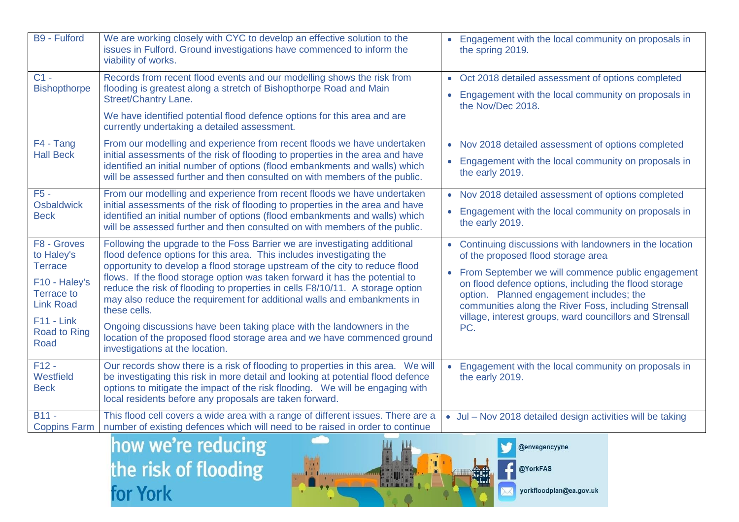| <b>B9 - Fulford</b>                                                                                                                                         | We are working closely with CYC to develop an effective solution to the<br>issues in Fulford. Ground investigations have commenced to inform the<br>viability of works.                                                                                                                                                                                                                                                                                                                                                                                                                                                                                                              | • Engagement with the local community on proposals in<br>the spring 2019.                                                                                                                                                                                                                                                                                                              |
|-------------------------------------------------------------------------------------------------------------------------------------------------------------|--------------------------------------------------------------------------------------------------------------------------------------------------------------------------------------------------------------------------------------------------------------------------------------------------------------------------------------------------------------------------------------------------------------------------------------------------------------------------------------------------------------------------------------------------------------------------------------------------------------------------------------------------------------------------------------|----------------------------------------------------------------------------------------------------------------------------------------------------------------------------------------------------------------------------------------------------------------------------------------------------------------------------------------------------------------------------------------|
| $C1 -$<br><b>Bishopthorpe</b>                                                                                                                               | Records from recent flood events and our modelling shows the risk from<br>flooding is greatest along a stretch of Bishopthorpe Road and Main<br><b>Street/Chantry Lane.</b><br>We have identified potential flood defence options for this area and are<br>currently undertaking a detailed assessment.                                                                                                                                                                                                                                                                                                                                                                              | • Oct 2018 detailed assessment of options completed<br>Engagement with the local community on proposals in<br>the Nov/Dec 2018.                                                                                                                                                                                                                                                        |
| F4 - Tang<br><b>Hall Beck</b>                                                                                                                               | From our modelling and experience from recent floods we have undertaken<br>initial assessments of the risk of flooding to properties in the area and have<br>identified an initial number of options (flood embankments and walls) which<br>will be assessed further and then consulted on with members of the public.                                                                                                                                                                                                                                                                                                                                                               | • Nov 2018 detailed assessment of options completed<br>Engagement with the local community on proposals in<br>the early 2019.                                                                                                                                                                                                                                                          |
| $F5 -$<br><b>Osbaldwick</b><br><b>Beck</b>                                                                                                                  | From our modelling and experience from recent floods we have undertaken<br>initial assessments of the risk of flooding to properties in the area and have<br>identified an initial number of options (flood embankments and walls) which<br>will be assessed further and then consulted on with members of the public.                                                                                                                                                                                                                                                                                                                                                               | • Nov 2018 detailed assessment of options completed<br>Engagement with the local community on proposals in<br>$\bullet$<br>the early 2019.                                                                                                                                                                                                                                             |
| F8 - Groves<br>to Haley's<br><b>Terrace</b><br>F10 - Haley's<br><b>Terrace to</b><br><b>Link Road</b><br>$F11 - Link$<br><b>Road to Ring</b><br><b>Road</b> | Following the upgrade to the Foss Barrier we are investigating additional<br>flood defence options for this area. This includes investigating the<br>opportunity to develop a flood storage upstream of the city to reduce flood<br>flows. If the flood storage option was taken forward it has the potential to<br>reduce the risk of flooding to properties in cells F8/10/11. A storage option<br>may also reduce the requirement for additional walls and embankments in<br>these cells.<br>Ongoing discussions have been taking place with the landowners in the<br>location of the proposed flood storage area and we have commenced ground<br>investigations at the location. | • Continuing discussions with landowners in the location<br>of the proposed flood storage area<br>• From September we will commence public engagement<br>on flood defence options, including the flood storage<br>option. Planned engagement includes; the<br>communities along the River Foss, including Strensall<br>village, interest groups, ward councillors and Strensall<br>PC. |
| $F12 -$<br>Westfield<br><b>Beck</b>                                                                                                                         | Our records show there is a risk of flooding to properties in this area. We will<br>be investigating this risk in more detail and looking at potential flood defence<br>options to mitigate the impact of the risk flooding. We will be engaging with<br>local residents before any proposals are taken forward.                                                                                                                                                                                                                                                                                                                                                                     | Engagement with the local community on proposals in<br>$\bullet$<br>the early 2019.                                                                                                                                                                                                                                                                                                    |
| $B11 -$<br><b>Coppins Farm</b>                                                                                                                              | This flood cell covers a wide area with a range of different issues. There are a<br>number of existing defences which will need to be raised in order to continue                                                                                                                                                                                                                                                                                                                                                                                                                                                                                                                    | • Jul - Nov 2018 detailed design activities will be taking                                                                                                                                                                                                                                                                                                                             |



@envagencyyne

@YorkFAS

yorkfloodplan@ea.gov.uk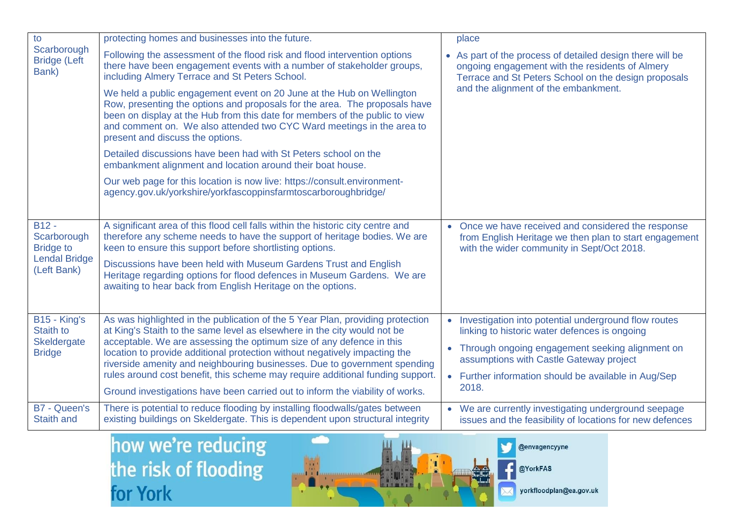| to                                                                                | protecting homes and businesses into the future.                                                                                                                                                                                                                                                                                                                                                                                                                                |           | place                                                                                                                                                                |
|-----------------------------------------------------------------------------------|---------------------------------------------------------------------------------------------------------------------------------------------------------------------------------------------------------------------------------------------------------------------------------------------------------------------------------------------------------------------------------------------------------------------------------------------------------------------------------|-----------|----------------------------------------------------------------------------------------------------------------------------------------------------------------------|
| Scarborough<br><b>Bridge (Left</b><br>Bank)                                       | Following the assessment of the flood risk and flood intervention options<br>there have been engagement events with a number of stakeholder groups,<br>including Almery Terrace and St Peters School.                                                                                                                                                                                                                                                                           |           | • As part of the process of detailed design there will be<br>ongoing engagement with the residents of Almery<br>Terrace and St Peters School on the design proposals |
|                                                                                   | We held a public engagement event on 20 June at the Hub on Wellington<br>Row, presenting the options and proposals for the area. The proposals have<br>been on display at the Hub from this date for members of the public to view<br>and comment on. We also attended two CYC Ward meetings in the area to<br>present and discuss the options.                                                                                                                                 |           | and the alignment of the embankment.                                                                                                                                 |
|                                                                                   | Detailed discussions have been had with St Peters school on the<br>embankment alignment and location around their boat house.                                                                                                                                                                                                                                                                                                                                                   |           |                                                                                                                                                                      |
|                                                                                   | Our web page for this location is now live: https://consult.environment-<br>agency.gov.uk/yorkshire/yorkfascoppinsfarmtoscarboroughbridge/                                                                                                                                                                                                                                                                                                                                      |           |                                                                                                                                                                      |
|                                                                                   |                                                                                                                                                                                                                                                                                                                                                                                                                                                                                 |           |                                                                                                                                                                      |
| $B12 -$<br>Scarborough<br><b>Bridge to</b><br><b>Lendal Bridge</b><br>(Left Bank) | A significant area of this flood cell falls within the historic city centre and<br>therefore any scheme needs to have the support of heritage bodies. We are<br>keen to ensure this support before shortlisting options.                                                                                                                                                                                                                                                        |           | • Once we have received and considered the response<br>from English Heritage we then plan to start engagement<br>with the wider community in Sept/Oct 2018.          |
|                                                                                   | Discussions have been held with Museum Gardens Trust and English<br>Heritage regarding options for flood defences in Museum Gardens. We are<br>awaiting to hear back from English Heritage on the options.                                                                                                                                                                                                                                                                      |           |                                                                                                                                                                      |
|                                                                                   |                                                                                                                                                                                                                                                                                                                                                                                                                                                                                 |           |                                                                                                                                                                      |
| B15 - King's<br><b>Staith to</b><br>Skeldergate<br><b>Bridge</b>                  | As was highlighted in the publication of the 5 Year Plan, providing protection<br>at King's Staith to the same level as elsewhere in the city would not be<br>acceptable. We are assessing the optimum size of any defence in this<br>location to provide additional protection without negatively impacting the<br>riverside amenity and neighbouring businesses. Due to government spending<br>rules around cost benefit, this scheme may require additional funding support. | $\bullet$ | Investigation into potential underground flow routes<br>linking to historic water defences is ongoing                                                                |
|                                                                                   |                                                                                                                                                                                                                                                                                                                                                                                                                                                                                 | $\bullet$ | Through ongoing engagement seeking alignment on<br>assumptions with Castle Gateway project                                                                           |
|                                                                                   |                                                                                                                                                                                                                                                                                                                                                                                                                                                                                 |           | • Further information should be available in Aug/Sep                                                                                                                 |
|                                                                                   | Ground investigations have been carried out to inform the viability of works.                                                                                                                                                                                                                                                                                                                                                                                                   |           | 2018.                                                                                                                                                                |
| <b>B7 - Queen's</b><br><b>Staith and</b>                                          | There is potential to reduce flooding by installing floodwalls/gates between<br>existing buildings on Skeldergate. This is dependent upon structural integrity                                                                                                                                                                                                                                                                                                                  |           | • We are currently investigating underground seepage<br>issues and the feasibility of locations for new defences                                                     |



@envagencyyne

@YorkFAS

yorkfloodplan@ea.gov.uk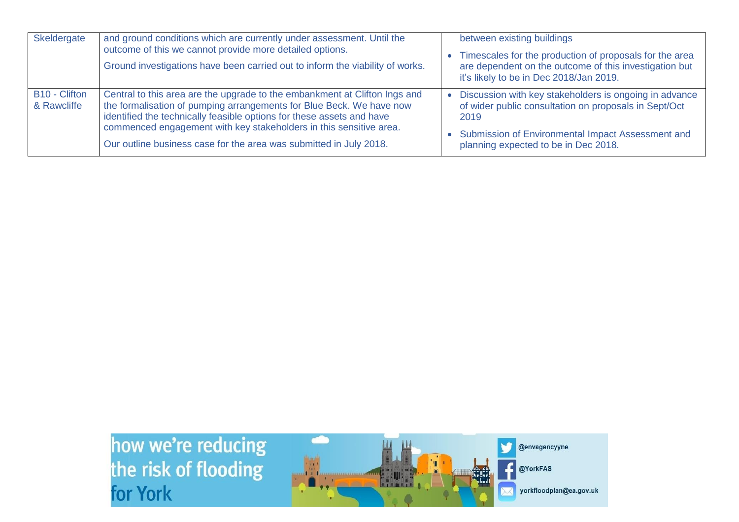| Skeldergate                  | and ground conditions which are currently under assessment. Until the<br>outcome of this we cannot provide more detailed options.<br>Ground investigations have been carried out to inform the viability of works.                                                                                                                                                      | between existing buildings<br>Timescales for the production of proposals for the area<br>are dependent on the outcome of this investigation but<br>it's likely to be in Dec 2018/Jan 2019.                           |
|------------------------------|-------------------------------------------------------------------------------------------------------------------------------------------------------------------------------------------------------------------------------------------------------------------------------------------------------------------------------------------------------------------------|----------------------------------------------------------------------------------------------------------------------------------------------------------------------------------------------------------------------|
| B10 - Clifton<br>& Rawcliffe | Central to this area are the upgrade to the embankment at Clifton Ings and<br>the formalisation of pumping arrangements for Blue Beck. We have now<br>identified the technically feasible options for these assets and have<br>commenced engagement with key stakeholders in this sensitive area.<br>Our outline business case for the area was submitted in July 2018. | Discussion with key stakeholders is ongoing in advance<br>of wider public consultation on proposals in Sept/Oct<br>2019<br>Submission of Environmental Impact Assessment and<br>planning expected to be in Dec 2018. |

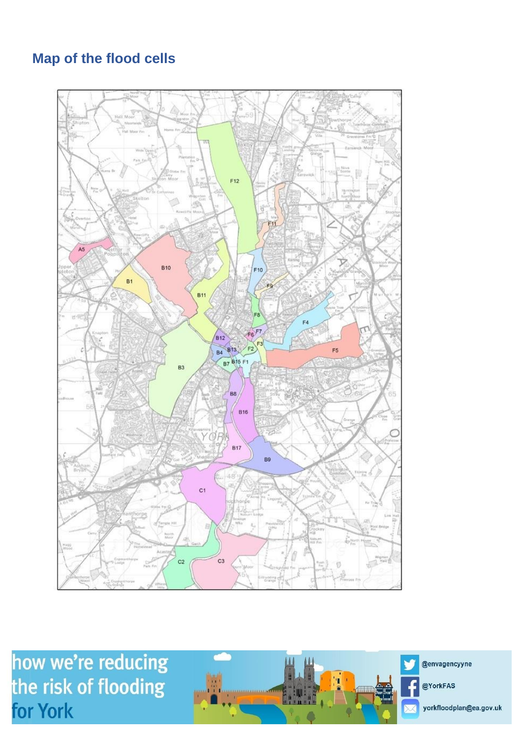## **Map of the flood cells**



how we're reducing the risk of flooding for York

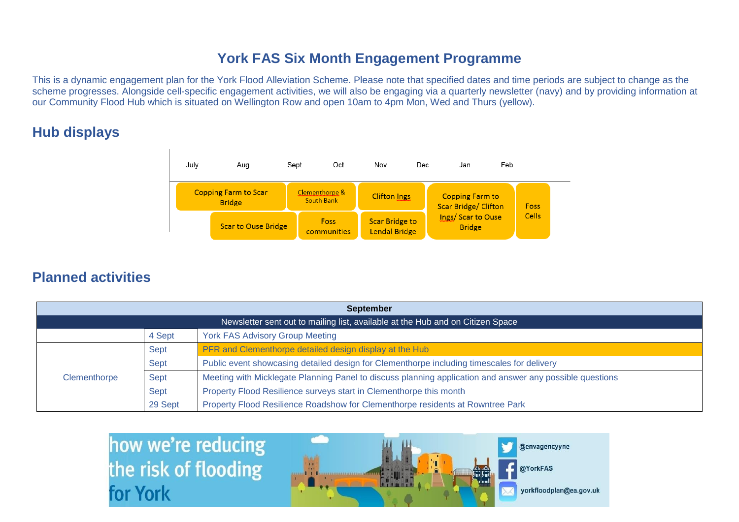## **York FAS Six Month Engagement Programme**

This is a dynamic engagement plan for the York Flood Alleviation Scheme. Please note that specified dates and time periods are subject to change as the scheme progresses. Alongside cell-specific engagement activities, we will also be engaging via a quarterly newsletter (navy) and by providing information at our Community Flood Hub which is situated on Wellington Row and open 10am to 4pm Mon, Wed and Thurs (yellow).

## **Hub displays**



### **Planned activities**

| <b>September</b>                                                               |         |                                                                                                          |  |
|--------------------------------------------------------------------------------|---------|----------------------------------------------------------------------------------------------------------|--|
| Newsletter sent out to mailing list, available at the Hub and on Citizen Space |         |                                                                                                          |  |
|                                                                                | 4 Sept  | <b>York FAS Advisory Group Meeting</b>                                                                   |  |
|                                                                                | Sept    | PFR and Clementhorpe detailed design display at the Hub                                                  |  |
|                                                                                | Sept    | Public event showcasing detailed design for Clementhorpe including timescales for delivery               |  |
| Clementhorpe                                                                   | Sept    | Meeting with Micklegate Planning Panel to discuss planning application and answer any possible questions |  |
|                                                                                | Sept    | Property Flood Resilience surveys start in Clementhorpe this month                                       |  |
|                                                                                | 29 Sept | Property Flood Resilience Roadshow for Clementhorpe residents at Rowntree Park                           |  |

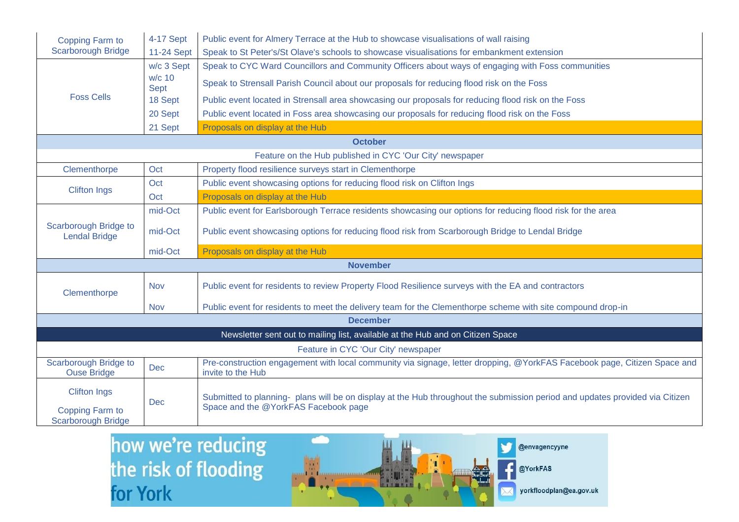| Copping Farm to                                                                | 4-17 Sept             | Public event for Almery Terrace at the Hub to showcase visualisations of wall raising                                                                                |  |  |  |  |
|--------------------------------------------------------------------------------|-----------------------|----------------------------------------------------------------------------------------------------------------------------------------------------------------------|--|--|--|--|
| <b>Scarborough Bridge</b>                                                      | 11-24 Sept            | Speak to St Peter's/St Olave's schools to showcase visualisations for embankment extension                                                                           |  |  |  |  |
|                                                                                | w/c 3 Sept            | Speak to CYC Ward Councillors and Community Officers about ways of engaging with Foss communities                                                                    |  |  |  |  |
| <b>Foss Cells</b>                                                              | w/c 10<br><b>Sept</b> | Speak to Strensall Parish Council about our proposals for reducing flood risk on the Foss                                                                            |  |  |  |  |
|                                                                                | 18 Sept               | Public event located in Strensall area showcasing our proposals for reducing flood risk on the Foss                                                                  |  |  |  |  |
|                                                                                | 20 Sept               | Public event located in Foss area showcasing our proposals for reducing flood risk on the Foss                                                                       |  |  |  |  |
|                                                                                | 21 Sept               | Proposals on display at the Hub                                                                                                                                      |  |  |  |  |
|                                                                                |                       | <b>October</b>                                                                                                                                                       |  |  |  |  |
|                                                                                |                       | Feature on the Hub published in CYC 'Our City' newspaper                                                                                                             |  |  |  |  |
| Clementhorpe                                                                   | Oct                   | Property flood resilience surveys start in Clementhorpe                                                                                                              |  |  |  |  |
| <b>Clifton Ings</b>                                                            | Oct                   | Public event showcasing options for reducing flood risk on Clifton Ings                                                                                              |  |  |  |  |
|                                                                                | Oct                   | Proposals on display at the Hub                                                                                                                                      |  |  |  |  |
|                                                                                | mid-Oct               | Public event for Earlsborough Terrace residents showcasing our options for reducing flood risk for the area                                                          |  |  |  |  |
| Scarborough Bridge to<br><b>Lendal Bridge</b>                                  | mid-Oct               | Public event showcasing options for reducing flood risk from Scarborough Bridge to Lendal Bridge                                                                     |  |  |  |  |
|                                                                                | mid-Oct               | Proposals on display at the Hub                                                                                                                                      |  |  |  |  |
|                                                                                |                       | <b>November</b>                                                                                                                                                      |  |  |  |  |
| Clementhorpe                                                                   | <b>Nov</b>            | Public event for residents to review Property Flood Resilience surveys with the EA and contractors                                                                   |  |  |  |  |
|                                                                                | <b>Nov</b>            | Public event for residents to meet the delivery team for the Clementhorpe scheme with site compound drop-in                                                          |  |  |  |  |
|                                                                                |                       | <b>December</b>                                                                                                                                                      |  |  |  |  |
| Newsletter sent out to mailing list, available at the Hub and on Citizen Space |                       |                                                                                                                                                                      |  |  |  |  |
| Feature in CYC 'Our City' newspaper                                            |                       |                                                                                                                                                                      |  |  |  |  |
| <b>Scarborough Bridge to</b><br><b>Ouse Bridge</b>                             | <b>Dec</b>            | Pre-construction engagement with local community via signage, letter dropping, @YorkFAS Facebook page, Citizen Space and<br>invite to the Hub                        |  |  |  |  |
| <b>Clifton Ings</b><br>Copping Farm to<br><b>Scarborough Bridge</b>            | Dec                   | Submitted to planning- plans will be on display at the Hub throughout the submission period and updates provided via Citizen<br>Space and the @YorkFAS Facebook page |  |  |  |  |

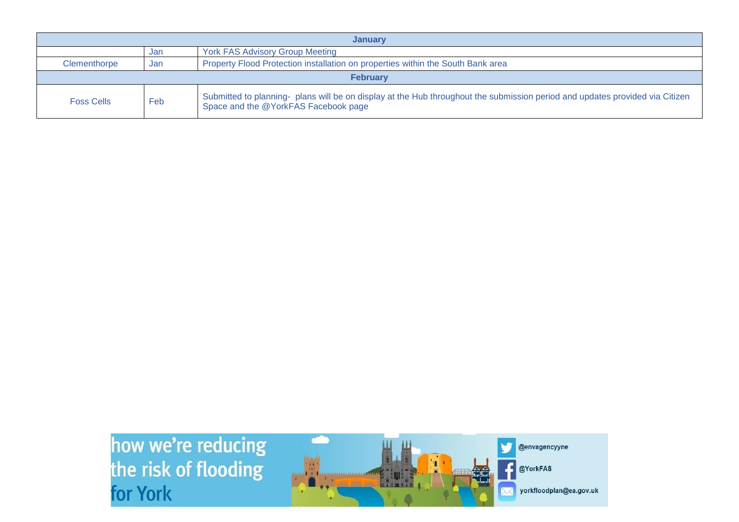| <b>January</b>    |                                                                                        |                                                                                                                                                                      |  |
|-------------------|----------------------------------------------------------------------------------------|----------------------------------------------------------------------------------------------------------------------------------------------------------------------|--|
|                   | Jan                                                                                    | <b>York FAS Advisory Group Meeting</b>                                                                                                                               |  |
| Clementhorpe      | Property Flood Protection installation on properties within the South Bank area<br>Jan |                                                                                                                                                                      |  |
| <b>February</b>   |                                                                                        |                                                                                                                                                                      |  |
| <b>Foss Cells</b> | Feb                                                                                    | Submitted to planning- plans will be on display at the Hub throughout the submission period and updates provided via Citizen<br>Space and the @YorkFAS Facebook page |  |